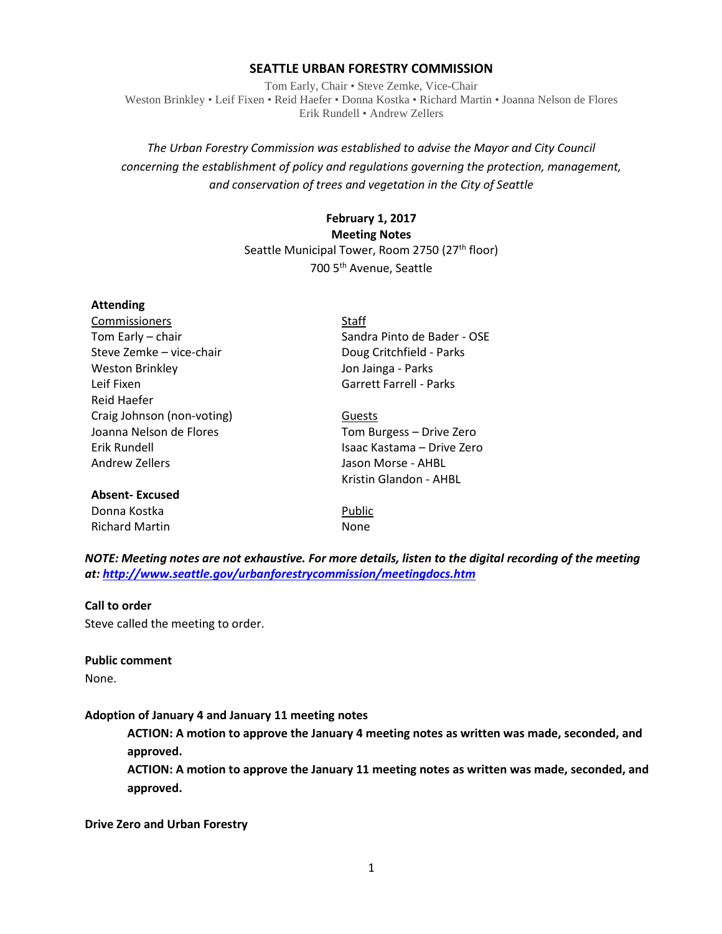#### **SEATTLE URBAN FORESTRY COMMISSION**

Tom Early, Chair • Steve Zemke, Vice-Chair Weston Brinkley • Leif Fixen • Reid Haefer • Donna Kostka • Richard Martin • Joanna Nelson de Flores Erik Rundell • Andrew Zellers

# *The Urban Forestry Commission was established to advise the Mayor and City Council concerning the establishment of policy and regulations governing the protection, management, and conservation of trees and vegetation in the City of Seattle*

# **February 1, 2017 Meeting Notes** Seattle Municipal Tower, Room 2750 (27<sup>th</sup> floor) 700 5th Avenue, Seattle

# **Attending**

| Commissioners              | Staff                          |
|----------------------------|--------------------------------|
| Tom Early - chair          | Sandra Pinto de Bader - OSE    |
| Steve Zemke - vice-chair   | Doug Critchfield - Parks       |
| <b>Weston Brinkley</b>     | Jon Jainga - Parks             |
| Leif Fixen                 | <b>Garrett Farrell - Parks</b> |
| Reid Haefer                |                                |
| Craig Johnson (non-voting) | Guests                         |
| Joanna Nelson de Flores    | Tom Burgess - Drive Zero       |
| Erik Rundell               | Isaac Kastama – Drive Zero     |
| <b>Andrew Zellers</b>      | Jason Morse - AHBL             |
|                            | Kristin Glandon - AHBL         |
| <b>Absent-Excused</b>      |                                |
| Donna Kostka               | Public                         |
| <b>Richard Martin</b>      | None                           |

*NOTE: Meeting notes are not exhaustive. For more details, listen to the digital recording of the meeting at:<http://www.seattle.gov/urbanforestrycommission/meetingdocs.htm>*

#### **Call to order**

Steve called the meeting to order.

# **Public comment**

None.

#### **Adoption of January 4 and January 11 meeting notes**

**ACTION: A motion to approve the January 4 meeting notes as written was made, seconded, and approved.**

**ACTION: A motion to approve the January 11 meeting notes as written was made, seconded, and approved.**

**Drive Zero and Urban Forestry**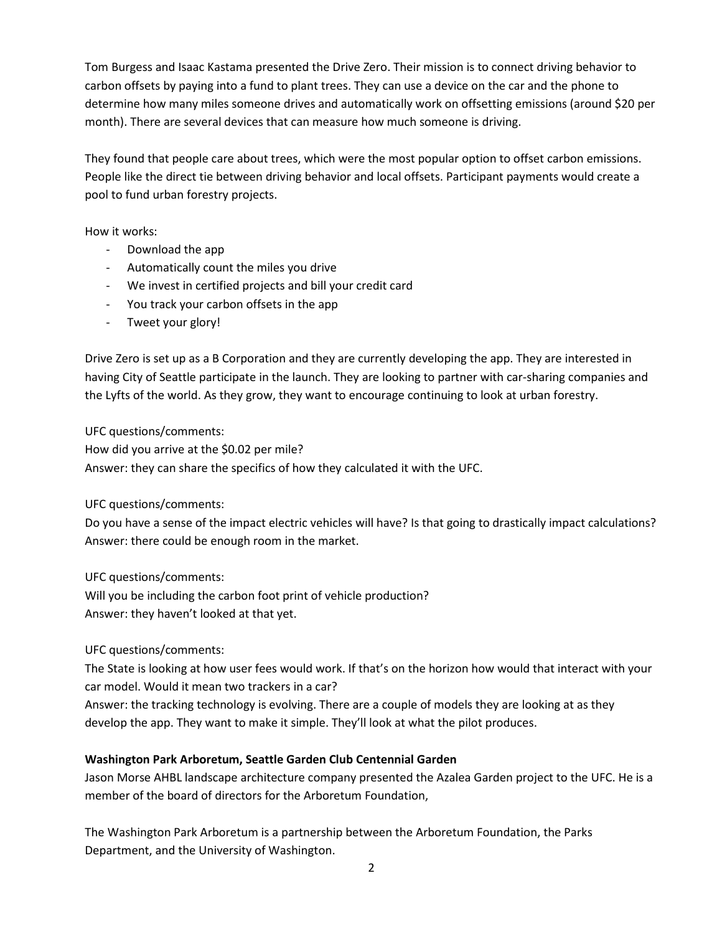Tom Burgess and Isaac Kastama presented the Drive Zero. Their mission is to connect driving behavior to carbon offsets by paying into a fund to plant trees. They can use a device on the car and the phone to determine how many miles someone drives and automatically work on offsetting emissions (around \$20 per month). There are several devices that can measure how much someone is driving.

They found that people care about trees, which were the most popular option to offset carbon emissions. People like the direct tie between driving behavior and local offsets. Participant payments would create a pool to fund urban forestry projects.

How it works:

- Download the app
- Automatically count the miles you drive
- We invest in certified projects and bill your credit card
- You track your carbon offsets in the app
- Tweet your glory!

Drive Zero is set up as a B Corporation and they are currently developing the app. They are interested in having City of Seattle participate in the launch. They are looking to partner with car-sharing companies and the Lyfts of the world. As they grow, they want to encourage continuing to look at urban forestry.

UFC questions/comments:

How did you arrive at the \$0.02 per mile? Answer: they can share the specifics of how they calculated it with the UFC.

UFC questions/comments:

Do you have a sense of the impact electric vehicles will have? Is that going to drastically impact calculations? Answer: there could be enough room in the market.

UFC questions/comments:

Will you be including the carbon foot print of vehicle production? Answer: they haven't looked at that yet.

UFC questions/comments:

The State is looking at how user fees would work. If that's on the horizon how would that interact with your car model. Would it mean two trackers in a car?

Answer: the tracking technology is evolving. There are a couple of models they are looking at as they develop the app. They want to make it simple. They'll look at what the pilot produces.

# **Washington Park Arboretum, Seattle Garden Club Centennial Garden**

Jason Morse AHBL landscape architecture company presented the Azalea Garden project to the UFC. He is a member of the board of directors for the Arboretum Foundation,

The Washington Park Arboretum is a partnership between the Arboretum Foundation, the Parks Department, and the University of Washington.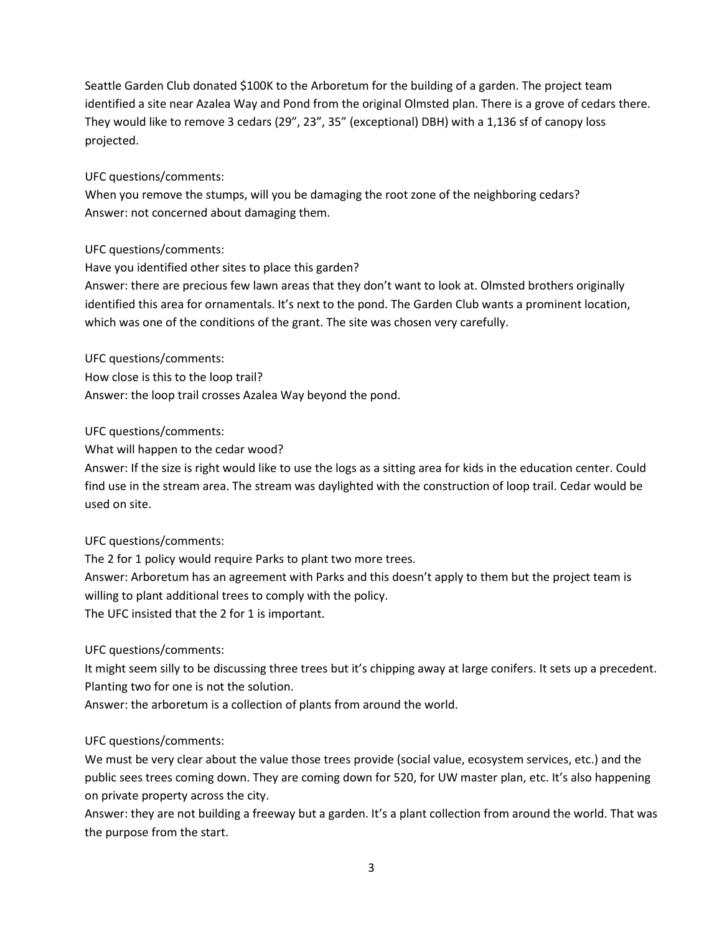Seattle Garden Club donated \$100K to the Arboretum for the building of a garden. The project team identified a site near Azalea Way and Pond from the original Olmsted plan. There is a grove of cedars there. They would like to remove 3 cedars (29", 23", 35" (exceptional) DBH) with a 1,136 sf of canopy loss projected.

## UFC questions/comments:

When you remove the stumps, will you be damaging the root zone of the neighboring cedars? Answer: not concerned about damaging them.

# UFC questions/comments:

Have you identified other sites to place this garden?

Answer: there are precious few lawn areas that they don't want to look at. Olmsted brothers originally identified this area for ornamentals. It's next to the pond. The Garden Club wants a prominent location, which was one of the conditions of the grant. The site was chosen very carefully.

UFC questions/comments:

How close is this to the loop trail? Answer: the loop trail crosses Azalea Way beyond the pond.

## UFC questions/comments:

What will happen to the cedar wood?

Answer: If the size is right would like to use the logs as a sitting area for kids in the education center. Could find use in the stream area. The stream was daylighted with the construction of loop trail. Cedar would be used on site.

# UFC questions/comments:

The 2 for 1 policy would require Parks to plant two more trees. Answer: Arboretum has an agreement with Parks and this doesn't apply to them but the project team is willing to plant additional trees to comply with the policy. The UFC insisted that the 2 for 1 is important.

# UFC questions/comments:

It might seem silly to be discussing three trees but it's chipping away at large conifers. It sets up a precedent. Planting two for one is not the solution.

Answer: the arboretum is a collection of plants from around the world.

# UFC questions/comments:

We must be very clear about the value those trees provide (social value, ecosystem services, etc.) and the public sees trees coming down. They are coming down for 520, for UW master plan, etc. It's also happening on private property across the city.

Answer: they are not building a freeway but a garden. It's a plant collection from around the world. That was the purpose from the start.